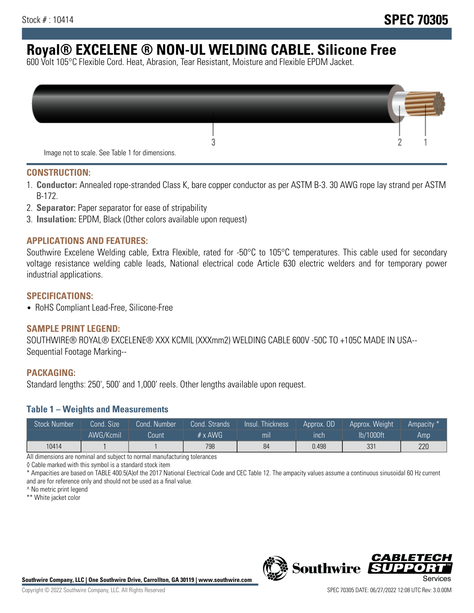# **Royal® EXCELENE ® NON-UL WELDING CABLE. Silicone Free**

600 Volt 105°C Flexible Cord. Heat, Abrasion, Tear Resistant, Moisture and Flexible EPDM Jacket.

| Image not to scale. See Table 1 for dimensions. |  |
|-------------------------------------------------|--|

#### **CONSTRUCTION:**

- 1. **Conductor:** Annealed rope-stranded Class K, bare copper conductor as per ASTM B-3. 30 AWG rope lay strand per ASTM B-172.
- 2. **Separator:** Paper separator for ease of stripability
- 3. **Insulation:** EPDM, Black (Other colors available upon request)

### **APPLICATIONS AND FEATURES:**

Southwire Excelene Welding cable, Extra Flexible, rated for -50°C to 105°C temperatures. This cable used for secondary voltage resistance welding cable leads, National electrical code Article 630 electric welders and for temporary power industrial applications.

#### **SPECIFICATIONS:**

• RoHS Compliant Lead-Free, Silicone-Free

#### **SAMPLE PRINT LEGEND:**

SOUTHWIRE® ROYAL® EXCELENE® XXX KCMIL (XXXmm2) WELDING CABLE 600V -50C TO +105C MADE IN USA-- Sequential Footage Marking--

#### **PACKAGING:**

Standard lengths: 250', 500' and 1,000' reels. Other lengths available upon request.

#### **Table 1 – Weights and Measurements**

| <b>Stock Number</b> | Cond. Size | Cond. Number | Cond. Strands   | Insul. Thickness | Approx. OD | Approx. Weight | "Ampacity" |
|---------------------|------------|--------------|-----------------|------------------|------------|----------------|------------|
|                     | AWG/Kcmil  | Count        | $# \times$ AWG. | mı               | inch       | lb/1000ft      | Amp        |
| 10414               |            |              | 798             | 84               | 0.498      | 331            | 220        |

All dimensions are nominal and subject to normal manufacturing tolerances

◊ Cable marked with this symbol is a standard stock item

\* Ampacities are based on TABLE 400.5(A)of the 2017 National Electrical Code and CEC Table 12. The ampacity values assume a continuous sinusoidal 60 Hz current and are for reference only and should not be used as a final value.

^ No metric print legend

\*\* White jacket color